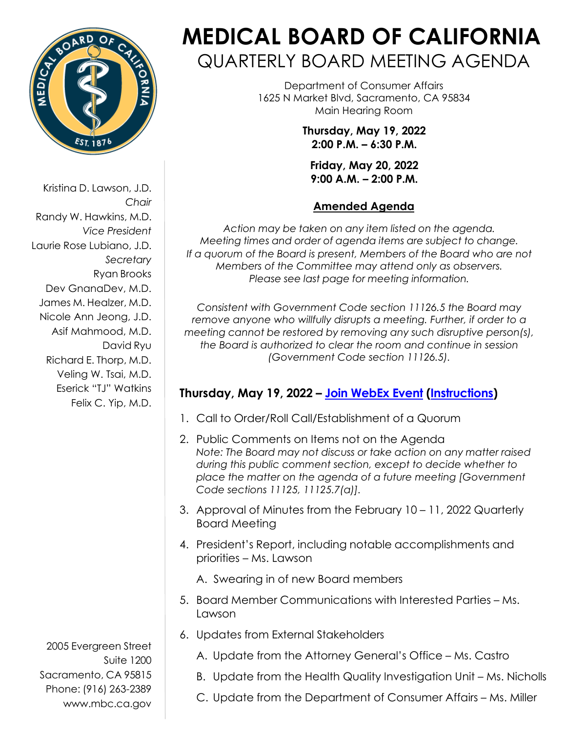

Kristina D. Lawson, J.D. *Chair* Randy W. Hawkins, M.D. *Vice President* Laurie Rose Lubiano, J.D. *Secretary* Ryan Brooks Dev GnanaDev, M.D. James M. Healzer, M.D. Nicole Ann Jeong, J.D. Asif Mahmood, M.D. David Ryu Richard E. Thorp, M.D. Veling W. Tsai, M.D. Eserick "TJ" Watkins Felix C. Yip, M.D.

2005 Evergreen Street Suite 1200 Sacramento, CA 95815 Phone: (916) 263-2389 [www.mbc.ca.gov](http://www.mbc.ca.gov/)

# **MEDICAL BOARD OF CALIFORNIA** QUARTERLY BOARD MEETING AGENDA

Department of Consumer Affairs 1625 N Market Blvd, Sacramento, CA 95834 Main Hearing Room

> **Thursday, May 19, 2022 2:00 P.M. – 6:30 P.M.**

**Friday, May 20, 2022 9:00 A.M. – 2:00 P.M.**

## **Amended Agenda**

*Action may be taken on any item listed on the agenda. Meeting times and order of agenda items are subject to change. If a quorum of the Board is present, Members of the Board who are not Members of the Committee may attend only as observers. Please see last page for meeting information.*

*Consistent with Government Code section 11126.5 the Board may remove anyone who willfully disrupts a meeting. Further, if order to a meeting cannot be restored by removing any such disruptive person(s), the Board is authorized to clear the room and continue in session (Government Code section 11126.5).*

# **Thursday, May 19, 2022 – [Join WebEx Event](https://dca-meetings.webex.com/dca-meetings/j.php?RGID=ref29d3cbc4f96efe5f4e71927f35e6d9) [\(Instructions\)](https://www.mbc.ca.gov/Download/User-Guides/HowToJoinAWebExEvent.pdf)**

- 1. Call to Order/Roll Call/Establishment of a Quorum
- 2. Public Comments on Items not on the Agenda *Note: The Board may not discuss or take action on any matter raised during this public comment section, except to decide whether to place the matter on the agenda of a future meeting [Government Code sections 11125, 11125.7(a)].*
- 3. Approval of Minutes from the February 10 11, 2022 Quarterly Board Meeting
- 4. President's Report, including notable accomplishments and priorities – Ms. Lawson

A. Swearing in of new Board members

- 5. Board Member Communications with Interested Parties Ms. Lawson
- 6. Updates from External Stakeholders
	- A. Update from the Attorney General's Office Ms. Castro
	- B. Update from the Health Quality Investigation Unit Ms. Nicholls
	- C. Update from the Department of Consumer Affairs Ms. Miller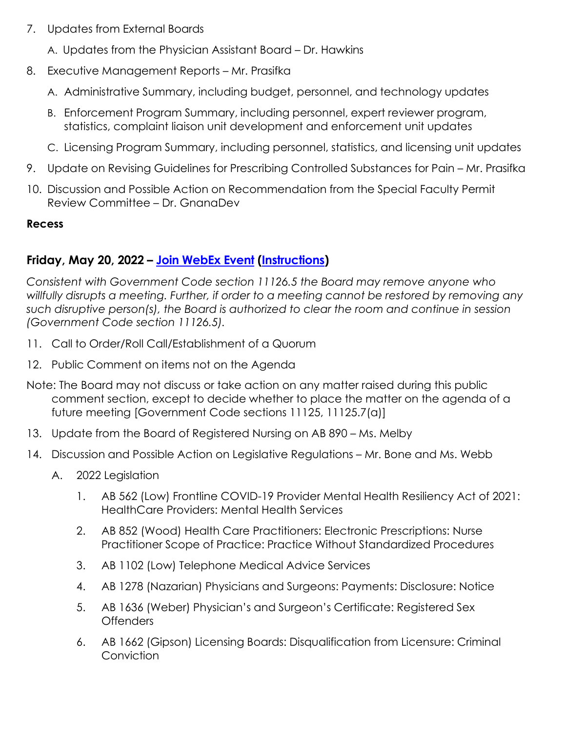7. Updates from External Boards

A. Updates from the Physician Assistant Board – Dr. Hawkins

- 8. Executive Management Reports Mr. Prasifka
	- A. Administrative Summary, including budget, personnel, and technology updates
	- B. Enforcement Program Summary, including personnel, expert reviewer program, statistics, complaint liaison unit development and enforcement unit updates
	- C. Licensing Program Summary, including personnel, statistics, and licensing unit updates
- 9. Update on Revising Guidelines for Prescribing Controlled Substances for Pain Mr. Prasifka
- 10. Discussion and Possible Action on Recommendation from the Special Faculty Permit Review Committee – Dr. GnanaDev

#### **Recess**

## **Friday, May 20, 2022 – [Join WebEx Event](https://dca-meetings.webex.com/dca-meetings/j.php?RGID=r91a5e1d5d21a2819291c498e913f0fd1) [\(Instructions\)](https://www.mbc.ca.gov/Download/User-Guides/HowToJoinAWebExEvent.pdf)**

*Consistent with Government Code section 11126.5 the Board may remove anyone who willfully disrupts a meeting. Further, if order to a meeting cannot be restored by removing any such disruptive person(s), the Board is authorized to clear the room and continue in session (Government Code section 11126.5).*

- 11. Call to Order/Roll Call/Establishment of a Quorum
- 12. Public Comment on items not on the Agenda
- Note: The Board may not discuss or take action on any matter raised during this public comment section, except to decide whether to place the matter on the agenda of a future meeting [Government Code sections 11125, 11125.7(a)]
- 13. Update from the Board of Registered Nursing on AB 890 Ms. Melby
- 14. Discussion and Possible Action on Legislative Regulations Mr. Bone and Ms. Webb
	- A. 2022 Legislation
		- 1. AB 562 (Low) Frontline COVID-19 Provider Mental Health Resiliency Act of 2021: HealthCare Providers: Mental Health Services
		- 2. AB 852 (Wood) Health Care Practitioners: Electronic Prescriptions: Nurse Practitioner Scope of Practice: Practice Without Standardized Procedures
		- 3. AB 1102 (Low) Telephone Medical Advice Services
		- 4. AB 1278 (Nazarian) Physicians and Surgeons: Payments: Disclosure: Notice
		- 5. AB 1636 (Weber) Physician's and Surgeon's Certificate: Registered Sex Offenders
		- 6. AB 1662 (Gipson) Licensing Boards: Disqualification from Licensure: Criminal **Conviction**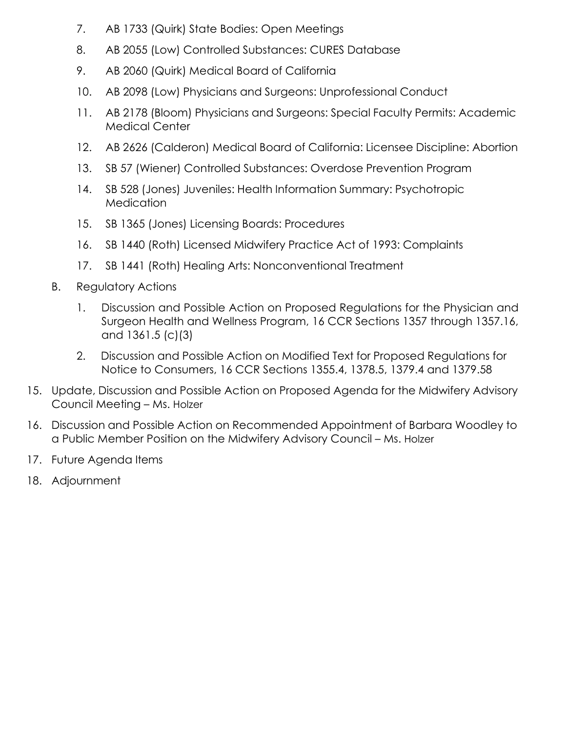- 7. AB 1733 (Quirk) State Bodies: Open Meetings
- 8. AB 2055 (Low) Controlled Substances: CURES Database
- 9. AB 2060 (Quirk) Medical Board of California
- 10. AB 2098 (Low) Physicians and Surgeons: Unprofessional Conduct
- 11. AB 2178 (Bloom) Physicians and Surgeons: Special Faculty Permits: Academic Medical Center
- 12. AB 2626 (Calderon) Medical Board of California: Licensee Discipline: Abortion
- 13. SB 57 (Wiener) Controlled Substances: Overdose Prevention Program
- 14. SB 528 (Jones) Juveniles: Health Information Summary: Psychotropic **Medication**
- 15. SB 1365 (Jones) Licensing Boards: Procedures
- 16. SB 1440 (Roth) Licensed Midwifery Practice Act of 1993: Complaints
- 17. SB 1441 (Roth) Healing Arts: Nonconventional Treatment
- B. Regulatory Actions
	- 1. Discussion and Possible Action on Proposed Regulations for the Physician and Surgeon Health and Wellness Program, 16 CCR Sections 1357 through 1357.16, and 1361.5 (c)(3)
	- 2. Discussion and Possible Action on Modified Text for Proposed Regulations for Notice to Consumers, 16 CCR Sections 1355.4, 1378.5, 1379.4 and 1379.58
- 15. Update, Discussion and Possible Action on Proposed Agenda for the Midwifery Advisory Council Meeting – Ms. Holzer
- 16. Discussion and Possible Action on Recommended Appointment of Barbara Woodley to a Public Member Position on the Midwifery Advisory Council – Ms. Holzer
- 17. Future Agenda Items
- 18. Adjournment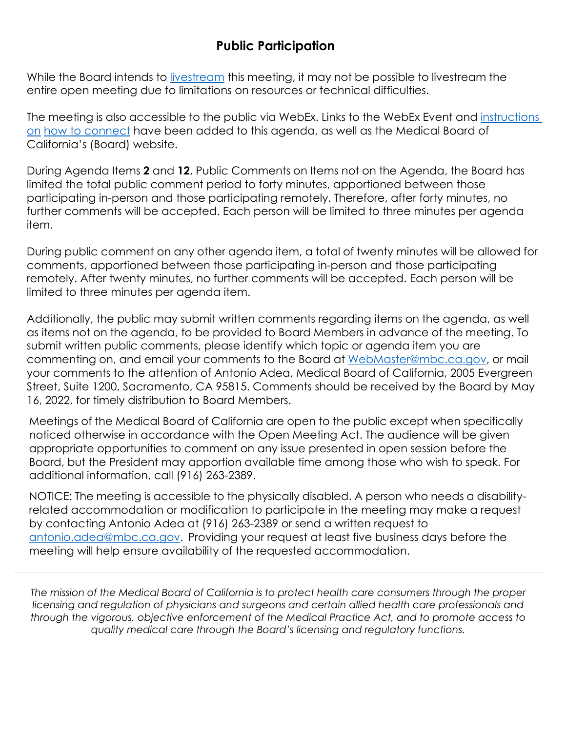# **Public Participation**

While the Board intends to [livestream t](http://www.mbc.ca.gov/About_Us/Meetings/Livestream_and_Webcast_Details.aspx)his meeting, it may not be possible to livestream the entire open meeting due to limitations on resources or technical difficulties.

The meeting is also accessible to the public via WebEx. Links to the WebEx Event and [instructions](https://www.mbc.ca.gov/Download/User-Guides/HowToJoinAWebExEvent.pdf)  [on](https://www.mbc.ca.gov/Download/User-Guides/HowToJoinAWebExEvent.pdf) [how to connect](https://www.mbc.ca.gov/Download/User-Guides/HowToJoinAWebExEvent.pdf) have been added to this agenda, as well as the Medical Board of California's (Board) website.

During Agenda Items **2** and **12**, Public Comments on Items not on the Agenda, the Board has limited the total public comment period to forty minutes, apportioned between those participating in-person and those participating remotely. Therefore, after forty minutes, no further comments will be accepted. Each person will be limited to three minutes per agenda item.

During public comment on any other agenda item, a total of twenty minutes will be allowed for comments, apportioned between those participating in-person and those participating remotely. After twenty minutes, no further comments will be accepted. Each person will be limited to three minutes per agenda item.

Additionally, the public may submit written comments regarding items on the agenda, as well as items not on the agenda, to be provided to Board Members in advance of the meeting. To submit written public comments, please identify which topic or agenda item you are commenting on, and email your comments to the Board at [WebMaster@mbc.ca.gov, o](mailto:WebMaster@mbc.ca.gov)r mail your comments to the attention of Antonio Adea, Medical Board of California, 2005 Evergreen Street, Suite 1200, Sacramento, CA 95815. Comments should be received by the Board by May 16, 2022, for timely distribution to Board Members.

Meetings of the Medical Board of California are open to the public except when specifically noticed otherwise in accordance with the Open Meeting Act. The audience will be given appropriate opportunities to comment on any issue presented in open session before the Board, but the President may apportion available time among those who wish to speak. For additional information, call (916) 263-2389.

NOTICE: The meeting is accessible to the physically disabled. A person who needs a disabilityrelated accommodation or modification to participate in the meeting may make a request by contacting Antonio Adea at (916) 263-2389 or send a written request to [antonio.adea@mbc.ca.gov.](mailto:antonio.adea@mbc.ca.gov) Providing your request at least five business days before the meeting will help ensure availability of the requested accommodation.

*The mission of the Medical Board of California is to protect health care consumers through the proper licensing and regulation of physicians and surgeons and certain allied health care professionals and through the vigorous, objective enforcement of the Medical Practice Act, and to promote access to quality medical care through the Board's licensing and regulatory functions.*